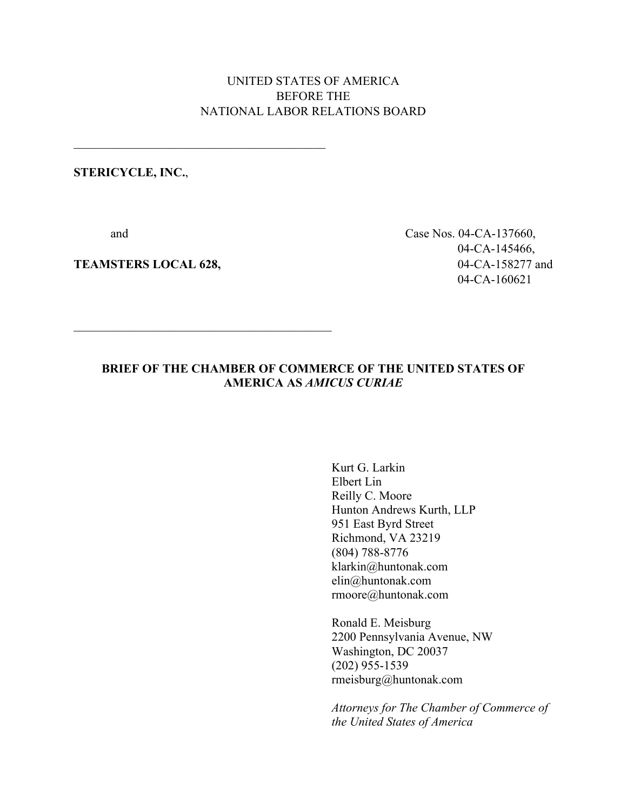## UNITED STATES OF AMERICA BEFORE THE NATIONAL LABOR RELATIONS BOARD

## **STERICYCLE, INC.**,

 $\mathcal{L}_\text{max}$  and  $\mathcal{L}_\text{max}$  and  $\mathcal{L}_\text{max}$  and  $\mathcal{L}_\text{max}$ 

**TEAMSTERS LOCAL 628,** 04-CA-158277 and

 and Case Nos. 04-CA-137660, 04-CA-145466, 04-CA-160621

## **BRIEF OF THE CHAMBER OF COMMERCE OF THE UNITED STATES OF AMERICA AS** *AMICUS CURIAE*

Kurt G. Larkin Elbert Lin Reilly C. Moore Hunton Andrews Kurth, LLP 951 East Byrd Street Richmond, VA 23219 (804) 788-8776 klarkin@huntonak.com elin@huntonak.com rmoore@huntonak.com

Ronald E. Meisburg 2200 Pennsylvania Avenue, NW Washington, DC 20037 (202) 955-1539 rmeisburg@huntonak.com

*Attorneys for The Chamber of Commerce of the United States of America*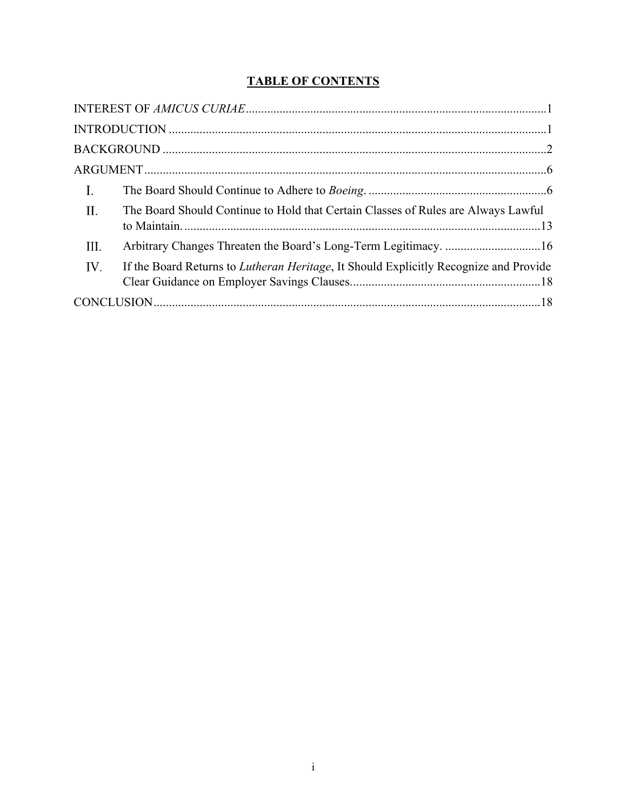# **TABLE OF CONTENTS**

| $\mathbf{I}$ . |                                                                                               |  |
|----------------|-----------------------------------------------------------------------------------------------|--|
| $\mathbf{H}$ . | The Board Should Continue to Hold that Certain Classes of Rules are Always Lawful             |  |
| III.           |                                                                                               |  |
| IV.            | If the Board Returns to <i>Lutheran Heritage</i> , It Should Explicitly Recognize and Provide |  |
|                |                                                                                               |  |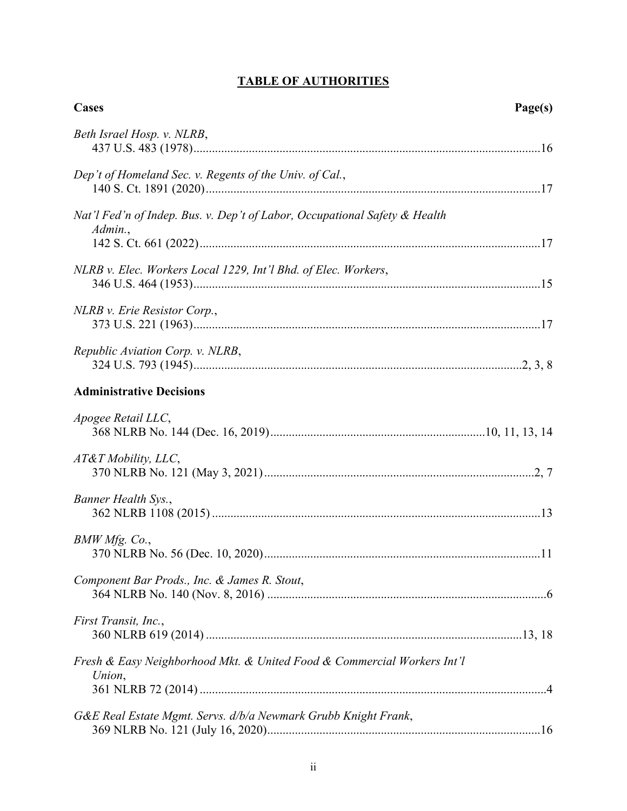# **TABLE OF AUTHORITIES**

| Cases<br>Page(s)                                                                      |  |
|---------------------------------------------------------------------------------------|--|
| Beth Israel Hosp. v. NLRB,                                                            |  |
| Dep't of Homeland Sec. v. Regents of the Univ. of Cal.,                               |  |
| Nat'l Fed'n of Indep. Bus. v. Dep't of Labor, Occupational Safety & Health<br>Admin., |  |
| NLRB v. Elec. Workers Local 1229, Int'l Bhd. of Elec. Workers,                        |  |
| NLRB v. Erie Resistor Corp.,                                                          |  |
| Republic Aviation Corp. v. NLRB,                                                      |  |
| <b>Administrative Decisions</b>                                                       |  |
| Apogee Retail LLC,                                                                    |  |
| AT&T Mobility, LLC,                                                                   |  |
| Banner Health Sys.,                                                                   |  |
| BMW Mfg. Co.,                                                                         |  |
| Component Bar Prods., Inc. & James R. Stout,                                          |  |
| First Transit, Inc.,                                                                  |  |
| Fresh & Easy Neighborhood Mkt. & United Food & Commercial Workers Int'l<br>Union,     |  |
| G&E Real Estate Mgmt. Servs. d/b/a Newmark Grubb Knight Frank,                        |  |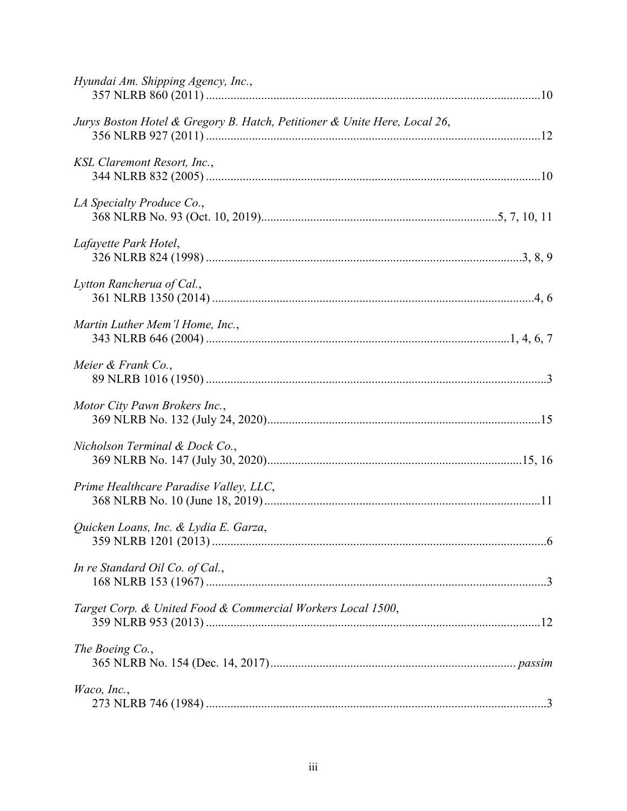| Hyundai Am. Shipping Agency, Inc.,                                        |  |
|---------------------------------------------------------------------------|--|
| Jurys Boston Hotel & Gregory B. Hatch, Petitioner & Unite Here, Local 26, |  |
| KSL Claremont Resort, Inc.,                                               |  |
| LA Specialty Produce Co.,                                                 |  |
| Lafayette Park Hotel,                                                     |  |
| Lytton Rancherua of Cal.,                                                 |  |
| Martin Luther Mem'l Home, Inc.,                                           |  |
| Meier & Frank Co.,                                                        |  |
| Motor City Pawn Brokers Inc.,                                             |  |
| Nicholson Terminal & Dock Co.,                                            |  |
| Prime Healthcare Paradise Valley, LLC,                                    |  |
| Quicken Loans, Inc. & Lydia E. Garza,                                     |  |
| In re Standard Oil Co. of Cal.,                                           |  |
| Target Corp. & United Food & Commercial Workers Local 1500,               |  |
| The Boeing Co.,                                                           |  |
| Waco, Inc.,                                                               |  |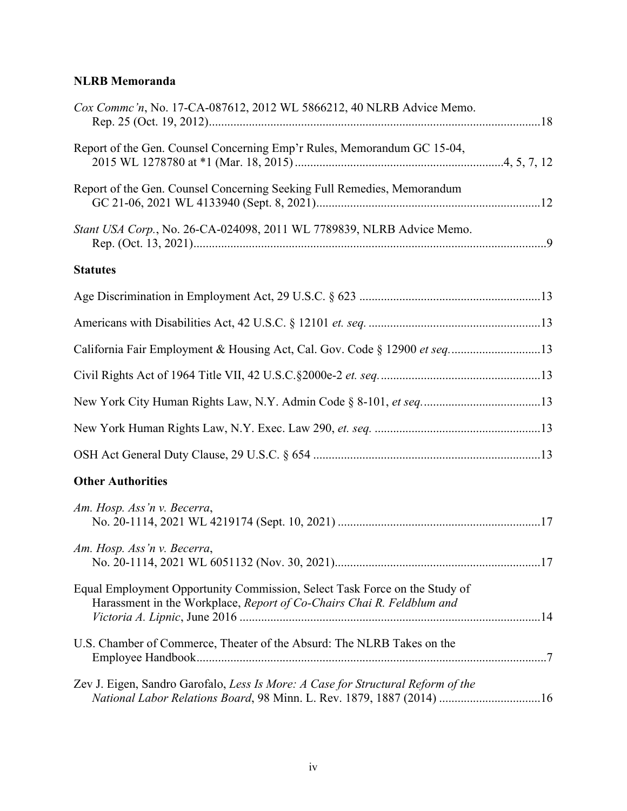# **NLRB Memoranda**

| Cox Commc'n, No. 17-CA-087612, 2012 WL 5866212, 40 NLRB Advice Memo.                                                                                      |  |
|-----------------------------------------------------------------------------------------------------------------------------------------------------------|--|
| Report of the Gen. Counsel Concerning Emp'r Rules, Memorandum GC 15-04,                                                                                   |  |
| Report of the Gen. Counsel Concerning Seeking Full Remedies, Memorandum                                                                                   |  |
| Stant USA Corp., No. 26-CA-024098, 2011 WL 7789839, NLRB Advice Memo.                                                                                     |  |
| <b>Statutes</b>                                                                                                                                           |  |
|                                                                                                                                                           |  |
|                                                                                                                                                           |  |
| California Fair Employment & Housing Act, Cal. Gov. Code § 12900 et seq13                                                                                 |  |
|                                                                                                                                                           |  |
|                                                                                                                                                           |  |
|                                                                                                                                                           |  |
|                                                                                                                                                           |  |
| <b>Other Authorities</b>                                                                                                                                  |  |
| Am. Hosp. Ass'n v. Becerra,                                                                                                                               |  |
| Am. Hosp. Ass'n v. Becerra,                                                                                                                               |  |
| Equal Employment Opportunity Commission, Select Task Force on the Study of<br>Harassment in the Workplace, Report of Co-Chairs Chai R. Feldblum and       |  |
| U.S. Chamber of Commerce, Theater of the Absurd: The NLRB Takes on the                                                                                    |  |
| Zev J. Eigen, Sandro Garofalo, Less Is More: A Case for Structural Reform of the<br>National Labor Relations Board, 98 Minn. L. Rev. 1879, 1887 (2014) 16 |  |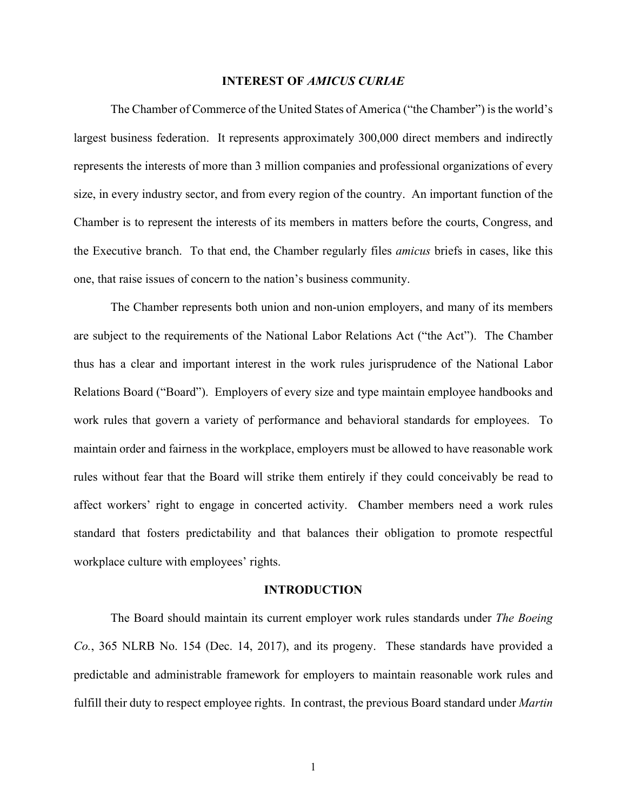#### **INTEREST OF** *AMICUS CURIAE*

The Chamber of Commerce of the United States of America ("the Chamber") is the world's largest business federation. It represents approximately 300,000 direct members and indirectly represents the interests of more than 3 million companies and professional organizations of every size, in every industry sector, and from every region of the country. An important function of the Chamber is to represent the interests of its members in matters before the courts, Congress, and the Executive branch. To that end, the Chamber regularly files *amicus* briefs in cases, like this one, that raise issues of concern to the nation's business community.

The Chamber represents both union and non-union employers, and many of its members are subject to the requirements of the National Labor Relations Act ("the Act"). The Chamber thus has a clear and important interest in the work rules jurisprudence of the National Labor Relations Board ("Board"). Employers of every size and type maintain employee handbooks and work rules that govern a variety of performance and behavioral standards for employees. To maintain order and fairness in the workplace, employers must be allowed to have reasonable work rules without fear that the Board will strike them entirely if they could conceivably be read to affect workers' right to engage in concerted activity. Chamber members need a work rules standard that fosters predictability and that balances their obligation to promote respectful workplace culture with employees' rights.

#### **INTRODUCTION**

The Board should maintain its current employer work rules standards under *The Boeing Co.*, 365 NLRB No. 154 (Dec. 14, 2017), and its progeny. These standards have provided a predictable and administrable framework for employers to maintain reasonable work rules and fulfill their duty to respect employee rights. In contrast, the previous Board standard under *Martin*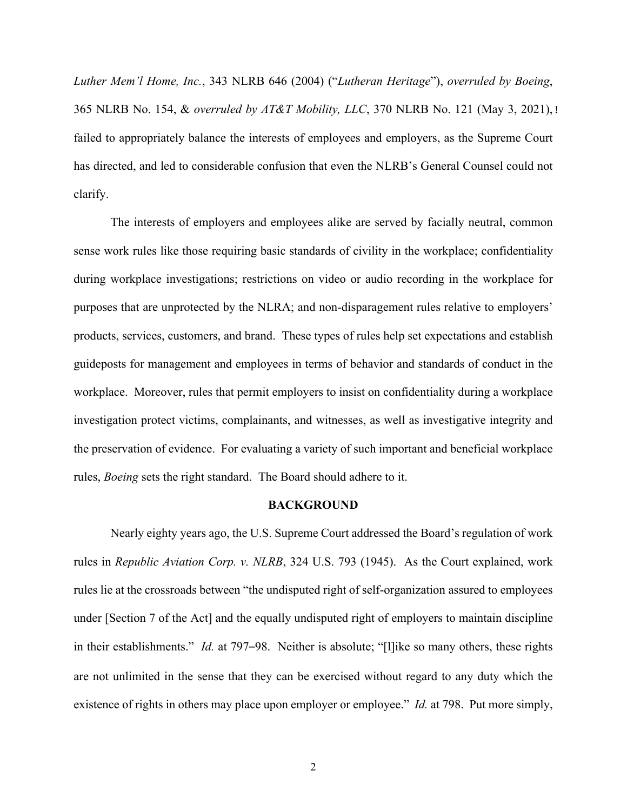*Luther Mem'l Home, Inc.*, 343 NLRB 646 (2004) ("*Lutheran Heritage*"), *overruled by Boeing*, 365 NLRB No. 154, & *overruled by AT&T Mobility, LLC*, 370 NLRB No. 121 (May 3, 2021), failed to appropriately balance the interests of employees and employers, as the Supreme Court has directed, and led to considerable confusion that even the NLRB's General Counsel could not clarify.

The interests of employers and employees alike are served by facially neutral, common sense work rules like those requiring basic standards of civility in the workplace; confidentiality during workplace investigations; restrictions on video or audio recording in the workplace for purposes that are unprotected by the NLRA; and non-disparagement rules relative to employers' products, services, customers, and brand. These types of rules help set expectations and establish guideposts for management and employees in terms of behavior and standards of conduct in the workplace. Moreover, rules that permit employers to insist on confidentiality during a workplace investigation protect victims, complainants, and witnesses, as well as investigative integrity and the preservation of evidence. For evaluating a variety of such important and beneficial workplace rules, *Boeing* sets the right standard. The Board should adhere to it.

#### **BACKGROUND**

Nearly eighty years ago, the U.S. Supreme Court addressed the Board's regulation of work rules in *Republic Aviation Corp. v. NLRB*, 324 U.S. 793 (1945). As the Court explained, work rules lie at the crossroads between "the undisputed right of self-organization assured to employees under [Section 7 of the Act] and the equally undisputed right of employers to maintain discipline in their establishments." *Id.* at 797–98. Neither is absolute; "[l]ike so many others, these rights are not unlimited in the sense that they can be exercised without regard to any duty which the existence of rights in others may place upon employer or employee." *Id.* at 798. Put more simply,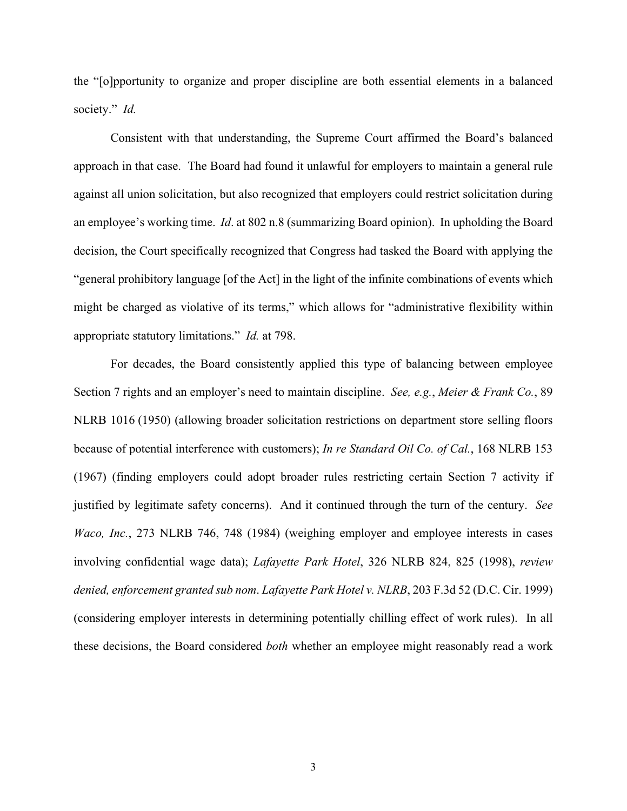the "[o]pportunity to organize and proper discipline are both essential elements in a balanced society." *Id.*

Consistent with that understanding, the Supreme Court affirmed the Board's balanced approach in that case. The Board had found it unlawful for employers to maintain a general rule against all union solicitation, but also recognized that employers could restrict solicitation during an employee's working time. *Id*. at 802 n.8 (summarizing Board opinion). In upholding the Board decision, the Court specifically recognized that Congress had tasked the Board with applying the "general prohibitory language [of the Act] in the light of the infinite combinations of events which might be charged as violative of its terms," which allows for "administrative flexibility within appropriate statutory limitations." *Id.* at 798.

For decades, the Board consistently applied this type of balancing between employee Section 7 rights and an employer's need to maintain discipline. *See, e.g.*, *Meier & Frank Co.*, 89 NLRB 1016 (1950) (allowing broader solicitation restrictions on department store selling floors because of potential interference with customers); *In re Standard Oil Co. of Cal.*, 168 NLRB 153 (1967) (finding employers could adopt broader rules restricting certain Section 7 activity if justified by legitimate safety concerns). And it continued through the turn of the century. *See Waco, Inc.*, 273 NLRB 746, 748 (1984) (weighing employer and employee interests in cases involving confidential wage data); *Lafayette Park Hotel*, 326 NLRB 824, 825 (1998), *review denied, enforcement granted sub nom*. *Lafayette Park Hotel v. NLRB*, 203 F.3d 52 (D.C. Cir. 1999) (considering employer interests in determining potentially chilling effect of work rules). In all these decisions, the Board considered *both* whether an employee might reasonably read a work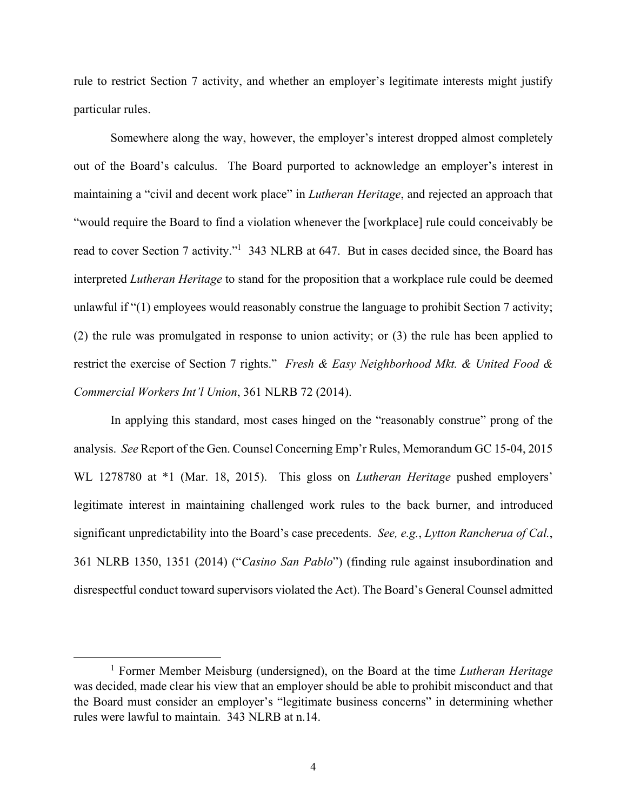rule to restrict Section 7 activity, and whether an employer's legitimate interests might justify particular rules.

Somewhere along the way, however, the employer's interest dropped almost completely out of the Board's calculus. The Board purported to acknowledge an employer's interest in maintaining a "civil and decent work place" in *Lutheran Heritage*, and rejected an approach that "would require the Board to find a violation whenever the [workplace] rule could conceivably be read to cover Section 7 activity."<sup>1</sup> 343 NLRB at 647. But in cases decided since, the Board has interpreted *Lutheran Heritage* to stand for the proposition that a workplace rule could be deemed unlawful if "(1) employees would reasonably construe the language to prohibit Section 7 activity; (2) the rule was promulgated in response to union activity; or (3) the rule has been applied to restrict the exercise of Section 7 rights." *Fresh & Easy Neighborhood Mkt. & United Food & Commercial Workers Int'l Union*, 361 NLRB 72 (2014).

In applying this standard, most cases hinged on the "reasonably construe" prong of the analysis. *See* Report of the Gen. Counsel Concerning Emp'r Rules, Memorandum GC 15-04, 2015 WL 1278780 at \*1 (Mar. 18, 2015). This gloss on *Lutheran Heritage* pushed employers' legitimate interest in maintaining challenged work rules to the back burner, and introduced significant unpredictability into the Board's case precedents. *See, e.g.*, *Lytton Rancherua of Cal.*, 361 NLRB 1350, 1351 (2014) ("*Casino San Pablo*") (finding rule against insubordination and disrespectful conduct toward supervisors violated the Act). The Board's General Counsel admitted

<sup>&</sup>lt;sup>1</sup> Former Member Meisburg (undersigned), on the Board at the time *Lutheran Heritage* was decided, made clear his view that an employer should be able to prohibit misconduct and that the Board must consider an employer's "legitimate business concerns" in determining whether rules were lawful to maintain.343 NLRB at n.14.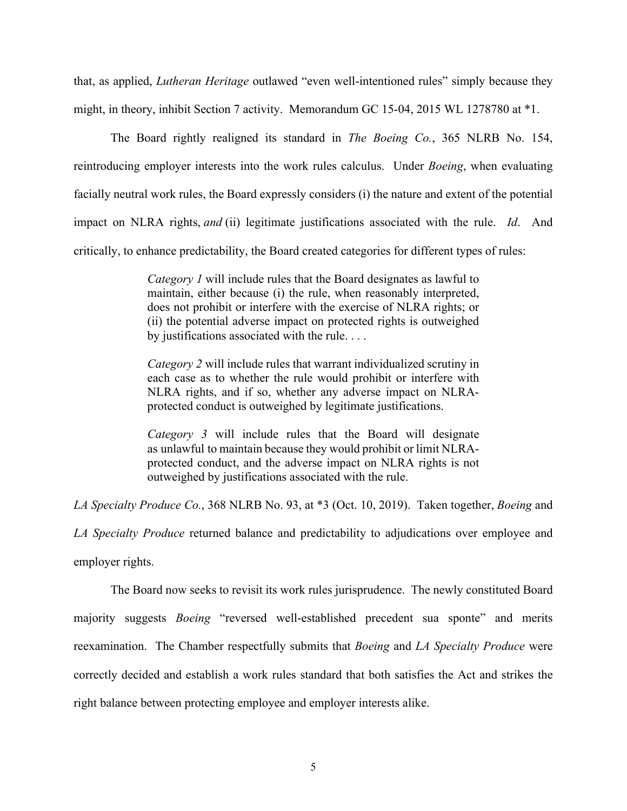that, as applied, *Lutheran Heritage* outlawed "even well-intentioned rules" simply because they might, in theory, inhibit Section 7 activity. Memorandum GC 15-04, 2015 WL 1278780 at \*1.

The Board rightly realigned its standard in *The Boeing Co.*, 365 NLRB No. 154, reintroducing employer interests into the work rules calculus. Under *Boeing*, when evaluating facially neutral work rules, the Board expressly considers (i) the nature and extent of the potential impact on NLRA rights, *and* (ii) legitimate justifications associated with the rule. *Id*. And critically, to enhance predictability, the Board created categories for different types of rules:

> *Category 1* will include rules that the Board designates as lawful to maintain, either because (i) the rule, when reasonably interpreted, does not prohibit or interfere with the exercise of NLRA rights; or (ii) the potential adverse impact on protected rights is outweighed by justifications associated with the rule. . . .

> *Category 2* will include rules that warrant individualized scrutiny in each case as to whether the rule would prohibit or interfere with NLRA rights, and if so, whether any adverse impact on NLRAprotected conduct is outweighed by legitimate justifications.

> *Category 3* will include rules that the Board will designate as unlawful to maintain because they would prohibit or limit NLRAprotected conduct, and the adverse impact on NLRA rights is not outweighed by justifications associated with the rule.

*LA Specialty Produce Co.*, 368 NLRB No. 93, at \*3 (Oct. 10, 2019). Taken together, *Boeing* and

*LA Specialty Produce* returned balance and predictability to adjudications over employee and employer rights.

The Board now seeks to revisit its work rules jurisprudence. The newly constituted Board majority suggests *Boeing* "reversed well-established precedent sua sponte" and merits reexamination. The Chamber respectfully submits that *Boeing* and *LA Specialty Produce* were correctly decided and establish a work rules standard that both satisfies the Act and strikes the right balance between protecting employee and employer interests alike.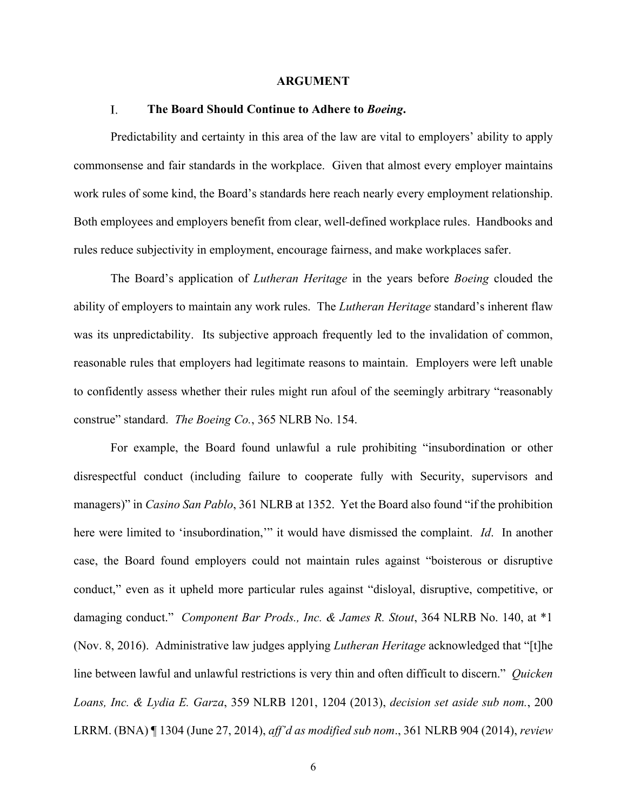#### **ARGUMENT**

#### $\mathbf{I}$ . **The Board Should Continue to Adhere to** *Boeing***.**

Predictability and certainty in this area of the law are vital to employers' ability to apply commonsense and fair standards in the workplace. Given that almost every employer maintains work rules of some kind, the Board's standards here reach nearly every employment relationship. Both employees and employers benefit from clear, well-defined workplace rules. Handbooks and rules reduce subjectivity in employment, encourage fairness, and make workplaces safer.

The Board's application of *Lutheran Heritage* in the years before *Boeing* clouded the ability of employers to maintain any work rules. The *Lutheran Heritage* standard's inherent flaw was its unpredictability. Its subjective approach frequently led to the invalidation of common, reasonable rules that employers had legitimate reasons to maintain. Employers were left unable to confidently assess whether their rules might run afoul of the seemingly arbitrary "reasonably construe" standard. *The Boeing Co.*, 365 NLRB No. 154.

For example, the Board found unlawful a rule prohibiting "insubordination or other disrespectful conduct (including failure to cooperate fully with Security, supervisors and managers)" in *Casino San Pablo*, 361 NLRB at 1352. Yet the Board also found "if the prohibition here were limited to 'insubordination,'" it would have dismissed the complaint. *Id*. In another case, the Board found employers could not maintain rules against "boisterous or disruptive conduct," even as it upheld more particular rules against "disloyal, disruptive, competitive, or damaging conduct." *Component Bar Prods., Inc. & James R. Stout*, 364 NLRB No. 140, at \*1 (Nov. 8, 2016). Administrative law judges applying *Lutheran Heritage* acknowledged that "[t]he line between lawful and unlawful restrictions is very thin and often difficult to discern." *Quicken Loans, Inc. & Lydia E. Garza*, 359 NLRB 1201, 1204 (2013), *decision set aside sub nom.*, 200 LRRM. (BNA) ¶ 1304 (June 27, 2014), *aff'd as modified sub nom*., 361 NLRB 904 (2014), *review*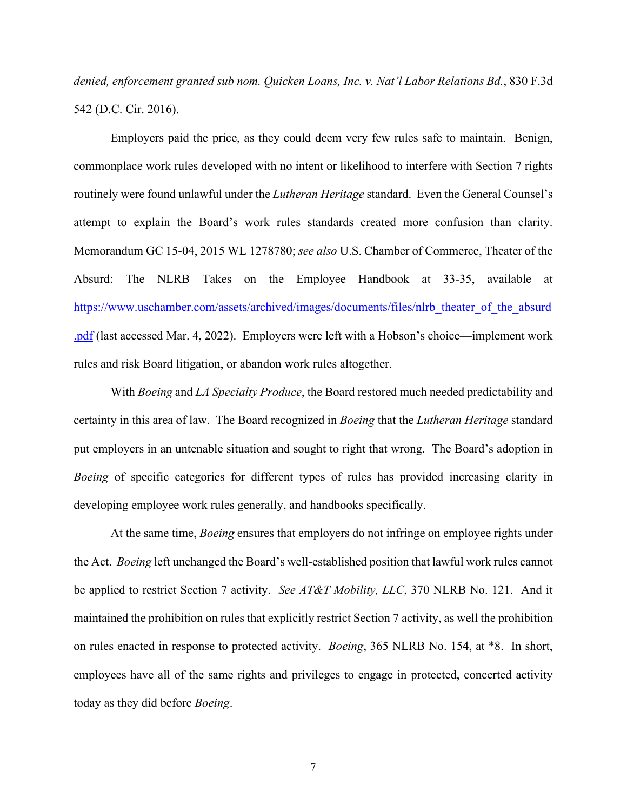*denied, enforcement granted sub nom. Quicken Loans, Inc. v. Nat'l Labor Relations Bd.*, 830 F.3d 542 (D.C. Cir. 2016).

Employers paid the price, as they could deem very few rules safe to maintain. Benign, commonplace work rules developed with no intent or likelihood to interfere with Section 7 rights routinely were found unlawful under the *Lutheran Heritage* standard. Even the General Counsel's attempt to explain the Board's work rules standards created more confusion than clarity. Memorandum GC 15-04, 2015 WL 1278780; *see also* U.S. Chamber of Commerce, Theater of the Absurd: The NLRB Takes on the Employee Handbook at 33-35, available at https://www.uschamber.com/assets/archived/images/documents/files/nlrb\_theater\_of\_the\_absurd .pdf (last accessed Mar. 4, 2022). Employers were left with a Hobson's choice—implement work rules and risk Board litigation, or abandon work rules altogether.

With *Boeing* and *LA Specialty Produce*, the Board restored much needed predictability and certainty in this area of law. The Board recognized in *Boeing* that the *Lutheran Heritage* standard put employers in an untenable situation and sought to right that wrong. The Board's adoption in *Boeing* of specific categories for different types of rules has provided increasing clarity in developing employee work rules generally, and handbooks specifically.

 At the same time, *Boeing* ensures that employers do not infringe on employee rights under the Act. *Boeing* left unchanged the Board's well-established position that lawful work rules cannot be applied to restrict Section 7 activity. *See AT&T Mobility, LLC*, 370 NLRB No. 121. And it maintained the prohibition on rules that explicitly restrict Section 7 activity, as well the prohibition on rules enacted in response to protected activity. *Boeing*, 365 NLRB No. 154, at \*8. In short, employees have all of the same rights and privileges to engage in protected, concerted activity today as they did before *Boeing*.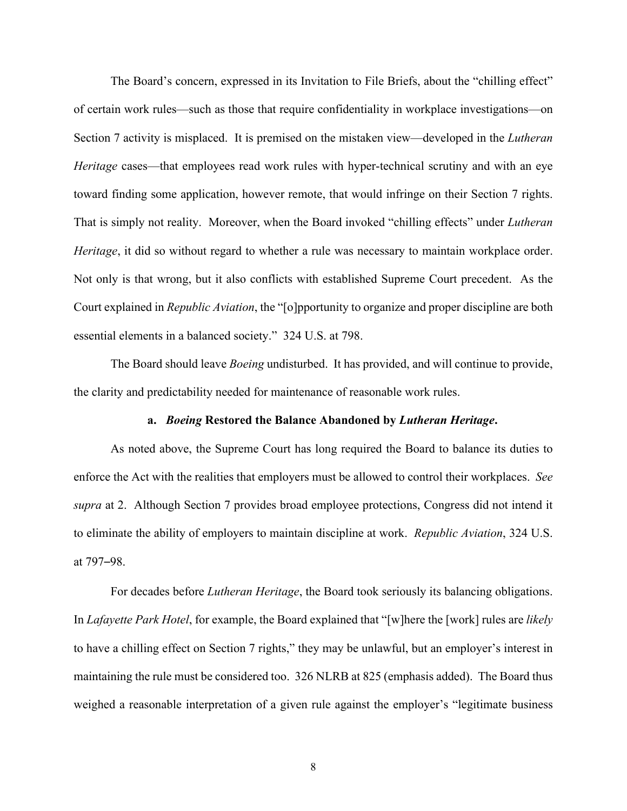The Board's concern, expressed in its Invitation to File Briefs, about the "chilling effect" of certain work rules—such as those that require confidentiality in workplace investigations—on Section 7 activity is misplaced. It is premised on the mistaken view—developed in the *Lutheran Heritage* cases—that employees read work rules with hyper-technical scrutiny and with an eye toward finding some application, however remote, that would infringe on their Section 7 rights. That is simply not reality. Moreover, when the Board invoked "chilling effects" under *Lutheran Heritage*, it did so without regard to whether a rule was necessary to maintain workplace order. Not only is that wrong, but it also conflicts with established Supreme Court precedent. As the Court explained in *Republic Aviation*, the "[o]pportunity to organize and proper discipline are both essential elements in a balanced society." 324 U.S. at 798.

The Board should leave *Boeing* undisturbed. It has provided, and will continue to provide, the clarity and predictability needed for maintenance of reasonable work rules.

#### **a.** *Boeing* **Restored the Balance Abandoned by** *Lutheran Heritage***.**

As noted above, the Supreme Court has long required the Board to balance its duties to enforce the Act with the realities that employers must be allowed to control their workplaces. *See supra* at 2. Although Section 7 provides broad employee protections, Congress did not intend it to eliminate the ability of employers to maintain discipline at work. *Republic Aviation*, 324 U.S. at 797–98.

For decades before *Lutheran Heritage*, the Board took seriously its balancing obligations. In *Lafayette Park Hotel*, for example, the Board explained that "[w]here the [work] rules are *likely* to have a chilling effect on Section 7 rights," they may be unlawful, but an employer's interest in maintaining the rule must be considered too. 326 NLRB at 825 (emphasis added). The Board thus weighed a reasonable interpretation of a given rule against the employer's "legitimate business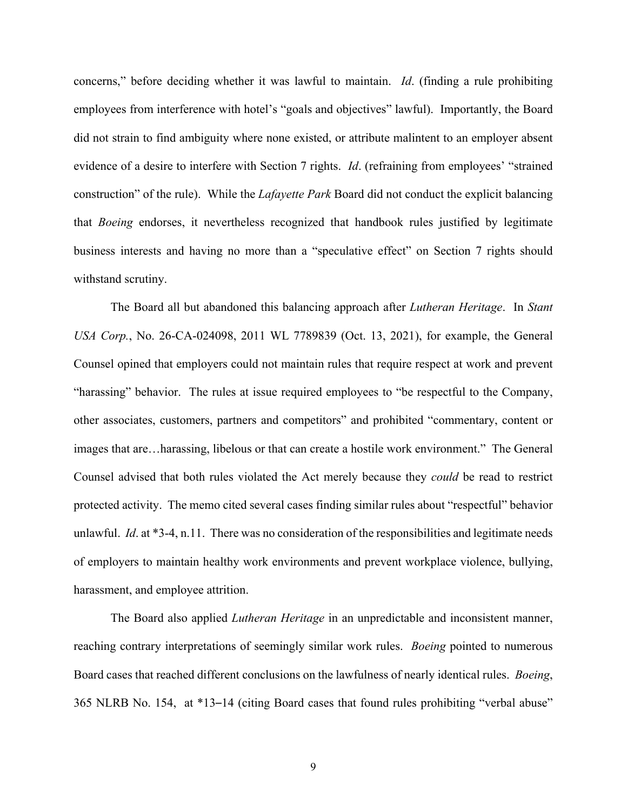concerns," before deciding whether it was lawful to maintain. *Id*. (finding a rule prohibiting employees from interference with hotel's "goals and objectives" lawful). Importantly, the Board did not strain to find ambiguity where none existed, or attribute malintent to an employer absent evidence of a desire to interfere with Section 7 rights. *Id*. (refraining from employees' "strained construction" of the rule). While the *Lafayette Park* Board did not conduct the explicit balancing that *Boeing* endorses, it nevertheless recognized that handbook rules justified by legitimate business interests and having no more than a "speculative effect" on Section 7 rights should withstand scrutiny.

The Board all but abandoned this balancing approach after *Lutheran Heritage*. In *Stant USA Corp.*, No. 26-CA-024098, 2011 WL 7789839 (Oct. 13, 2021), for example, the General Counsel opined that employers could not maintain rules that require respect at work and prevent "harassing" behavior. The rules at issue required employees to "be respectful to the Company, other associates, customers, partners and competitors" and prohibited "commentary, content or images that are…harassing, libelous or that can create a hostile work environment." The General Counsel advised that both rules violated the Act merely because they *could* be read to restrict protected activity. The memo cited several cases finding similar rules about "respectful" behavior unlawful. *Id*. at \*3-4, n.11. There was no consideration of the responsibilities and legitimate needs of employers to maintain healthy work environments and prevent workplace violence, bullying, harassment, and employee attrition.

The Board also applied *Lutheran Heritage* in an unpredictable and inconsistent manner, reaching contrary interpretations of seemingly similar work rules. *Boeing* pointed to numerous Board cases that reached different conclusions on the lawfulness of nearly identical rules. *Boeing*, 365 NLRB No. 154, at \*13–14 (citing Board cases that found rules prohibiting "verbal abuse"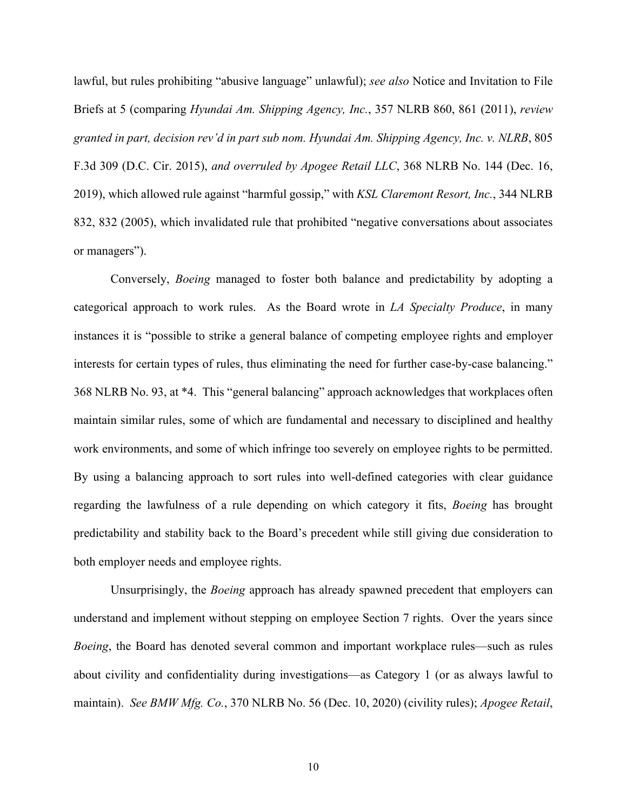lawful, but rules prohibiting "abusive language" unlawful); *see also* Notice and Invitation to File Briefs at 5 (comparing *Hyundai Am. Shipping Agency, Inc.*, 357 NLRB 860, 861 (2011), *review granted in part, decision rev'd in part sub nom. Hyundai Am. Shipping Agency, Inc. v. NLRB*, 805 F.3d 309 (D.C. Cir. 2015), *and overruled by Apogee Retail LLC*, 368 NLRB No. 144 (Dec. 16, 2019), which allowed rule against "harmful gossip," with *KSL Claremont Resort, Inc.*, 344 NLRB 832, 832 (2005), which invalidated rule that prohibited "negative conversations about associates or managers").

Conversely, *Boeing* managed to foster both balance and predictability by adopting a categorical approach to work rules. As the Board wrote in *LA Specialty Produce*, in many instances it is "possible to strike a general balance of competing employee rights and employer interests for certain types of rules, thus eliminating the need for further case-by-case balancing." 368 NLRB No. 93, at \*4. This "general balancing" approach acknowledges that workplaces often maintain similar rules, some of which are fundamental and necessary to disciplined and healthy work environments, and some of which infringe too severely on employee rights to be permitted. By using a balancing approach to sort rules into well-defined categories with clear guidance regarding the lawfulness of a rule depending on which category it fits, *Boeing* has brought predictability and stability back to the Board's precedent while still giving due consideration to both employer needs and employee rights.

Unsurprisingly, the *Boeing* approach has already spawned precedent that employers can understand and implement without stepping on employee Section 7 rights. Over the years since *Boeing*, the Board has denoted several common and important workplace rules—such as rules about civility and confidentiality during investigations—as Category 1 (or as always lawful to maintain). *See BMW Mfg. Co.*, 370 NLRB No. 56 (Dec. 10, 2020) (civility rules); *Apogee Retail*,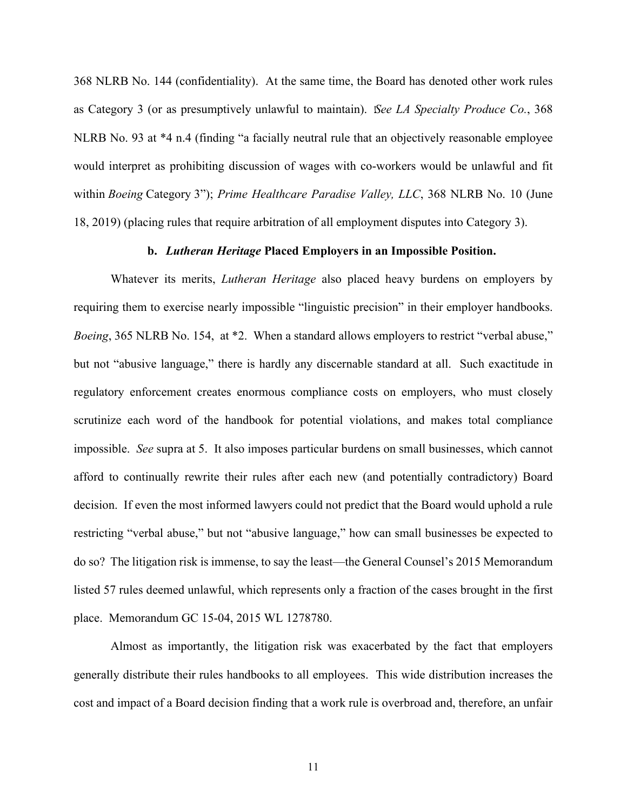368 NLRB No. 144 (confidentiality).At the same time, the Board has denoted other work rules as Category 3 (or as presumptively unlawful to maintain). *See LA Specialty Produce Co.*, 368 NLRB No. 93 at \*4 n.4 (finding "a facially neutral rule that an objectively reasonable employee would interpret as prohibiting discussion of wages with co-workers would be unlawful and fit within *Boeing* Category 3"); *Prime Healthcare Paradise Valley, LLC*, 368 NLRB No. 10 (June 18, 2019) (placing rules that require arbitration of all employment disputes into Category 3).

### **b.** *Lutheran Heritage* **Placed Employers in an Impossible Position.**

Whatever its merits, *Lutheran Heritage* also placed heavy burdens on employers by requiring them to exercise nearly impossible "linguistic precision" in their employer handbooks. *Boeing*, 365 NLRB No. 154, at \*2. When a standard allows employers to restrict "verbal abuse," but not "abusive language," there is hardly any discernable standard at all. Such exactitude in regulatory enforcement creates enormous compliance costs on employers, who must closely scrutinize each word of the handbook for potential violations, and makes total compliance impossible. *See* supra at 5. It also imposes particular burdens on small businesses, which cannot afford to continually rewrite their rules after each new (and potentially contradictory) Board decision. If even the most informed lawyers could not predict that the Board would uphold a rule restricting "verbal abuse," but not "abusive language," how can small businesses be expected to do so? The litigation risk is immense, to say the least—the General Counsel's 2015 Memorandum listed 57 rules deemed unlawful, which represents only a fraction of the cases brought in the first place. Memorandum GC 15-04, 2015 WL 1278780.

Almost as importantly, the litigation risk was exacerbated by the fact that employers generally distribute their rules handbooks to all employees. This wide distribution increases the cost and impact of a Board decision finding that a work rule is overbroad and, therefore, an unfair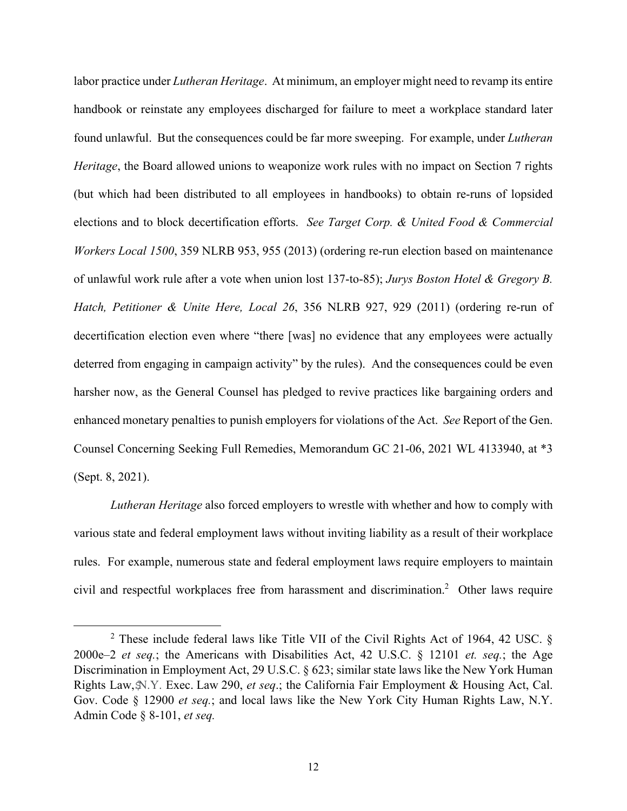labor practice under *Lutheran Heritage*. At minimum, an employer might need to revamp its entire handbook or reinstate any employees discharged for failure to meet a workplace standard later found unlawful. But the consequences could be far more sweeping. For example, under *Lutheran Heritage*, the Board allowed unions to weaponize work rules with no impact on Section 7 rights (but which had been distributed to all employees in handbooks) to obtain re-runs of lopsided elections and to block decertification efforts. *See Target Corp. & United Food & Commercial Workers Local 1500*, 359 NLRB 953, 955 (2013) (ordering re-run election based on maintenance of unlawful work rule after a vote when union lost 137-to-85); *Jurys Boston Hotel & Gregory B. Hatch, Petitioner & Unite Here, Local 26*, 356 NLRB 927, 929 (2011) (ordering re-run of decertification election even where "there [was] no evidence that any employees were actually deterred from engaging in campaign activity" by the rules). And the consequences could be even harsher now, as the General Counsel has pledged to revive practices like bargaining orders and enhanced monetary penalties to punish employers for violations of the Act. *See* Report of the Gen. Counsel Concerning Seeking Full Remedies, Memorandum GC 21-06, 2021 WL 4133940, at \*3 (Sept. 8, 2021).

*Lutheran Heritage* also forced employers to wrestle with whether and how to comply with various state and federal employment laws without inviting liability as a result of their workplace rules. For example, numerous state and federal employment laws require employers to maintain civil and respectful workplaces free from harassment and discrimination.2 Other laws require

<sup>&</sup>lt;sup>2</sup> These include federal laws like Title VII of the Civil Rights Act of 1964, 42 USC.  $\S$ 2000e–2 *et seq.*; the Americans with Disabilities Act, 42 U.S.C. § 12101 *et. seq.*; the Age Discrimination in Employment Act, 29 U.S.C. § 623; similar state laws like the New York Human Rights Law,-N.Y. Exec. Law 290, *et seq*.; the California Fair Employment & Housing Act, Cal. Gov. Code § 12900 *et seq.*; and local laws like the New York City Human Rights Law, N.Y. Admin Code § 8-101, *et seq.*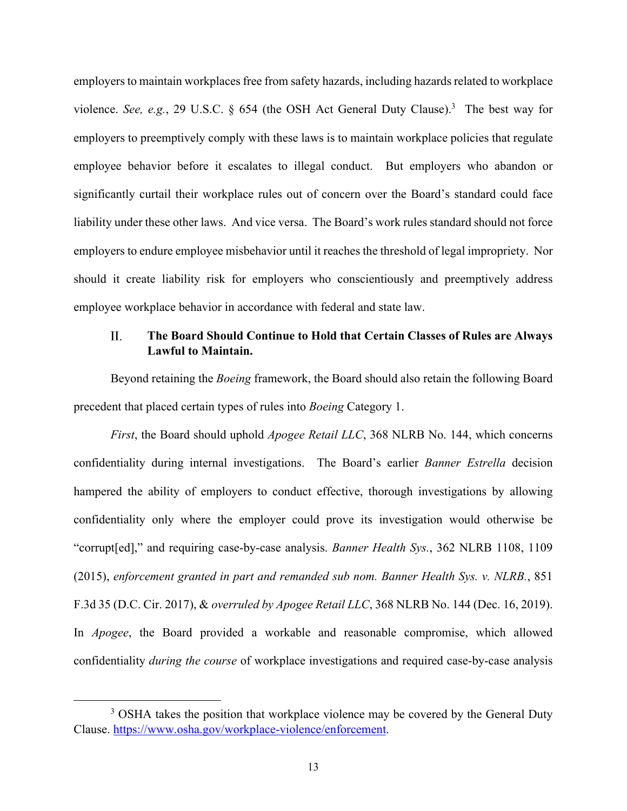employers to maintain workplaces free from safety hazards, including hazards related to workplace violence. *See, e.g.*, 29 U.S.C. § 654 (the OSH Act General Duty Clause).3 The best way for employers to preemptively comply with these laws is to maintain workplace policies that regulate employee behavior before it escalates to illegal conduct. But employers who abandon or significantly curtail their workplace rules out of concern over the Board's standard could face liability under these other laws. And vice versa. The Board's work rules standard should not force employers to endure employee misbehavior until it reaches the threshold of legal impropriety. Nor should it create liability risk for employers who conscientiously and preemptively address employee workplace behavior in accordance with federal and state law.

#### II. **The Board Should Continue to Hold that Certain Classes of Rules are Always Lawful to Maintain.**

Beyond retaining the *Boeing* framework, the Board should also retain the following Board precedent that placed certain types of rules into *Boeing* Category 1.

*First*, the Board should uphold *Apogee Retail LLC*, 368 NLRB No. 144, which concerns confidentiality during internal investigations. The Board's earlier *Banner Estrella* decision hampered the ability of employers to conduct effective, thorough investigations by allowing confidentiality only where the employer could prove its investigation would otherwise be "corrupt[ed]," and requiring case-by-case analysis. *Banner Health Sys.*, 362 NLRB 1108, 1109 (2015), *enforcement granted in part and remanded sub nom. Banner Health Sys. v. NLRB.*, 851 F.3d 35 (D.C. Cir. 2017), & *overruled by Apogee Retail LLC*, 368 NLRB No. 144 (Dec. 16, 2019). In *Apogee*, the Board provided a workable and reasonable compromise, which allowed confidentiality *during the course* of workplace investigations and required case-by-case analysis

<sup>&</sup>lt;sup>3</sup> OSHA takes the position that workplace violence may be covered by the General Duty Clause. https://www.osha.gov/workplace-violence/enforcement.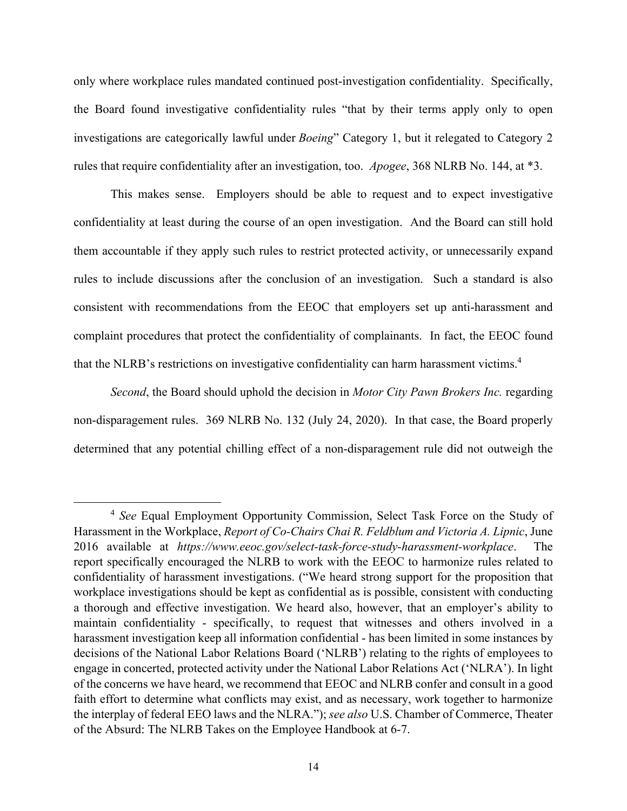only where workplace rules mandated continued post-investigation confidentiality. Specifically, the Board found investigative confidentiality rules "that by their terms apply only to open investigations are categorically lawful under *Boeing*" Category 1, but it relegated to Category 2 rules that require confidentiality after an investigation, too. *Apogee*, 368 NLRB No. 144, at \*3.

This makes sense. Employers should be able to request and to expect investigative confidentiality at least during the course of an open investigation. And the Board can still hold them accountable if they apply such rules to restrict protected activity, or unnecessarily expand rules to include discussions after the conclusion of an investigation. Such a standard is also consistent with recommendations from the EEOC that employers set up anti-harassment and complaint procedures that protect the confidentiality of complainants. In fact, the EEOC found that the NLRB's restrictions on investigative confidentiality can harm harassment victims.<sup>4</sup>

*Second*, the Board should uphold the decision in *Motor City Pawn Brokers Inc.* regarding non-disparagement rules. 369 NLRB No. 132 (July 24, 2020). In that case, the Board properly determined that any potential chilling effect of a non-disparagement rule did not outweigh the

<sup>4</sup> *See* Equal Employment Opportunity Commission, Select Task Force on the Study of Harassment in the Workplace, *Report of Co-Chairs Chai R. Feldblum and Victoria A. Lipnic*, June 2016 available at *https://www.eeoc.gov/select-task-force-study-harassment-workplace*. The report specifically encouraged the NLRB to work with the EEOC to harmonize rules related to confidentiality of harassment investigations. ("We heard strong support for the proposition that workplace investigations should be kept as confidential as is possible, consistent with conducting a thorough and effective investigation. We heard also, however, that an employer's ability to maintain confidentiality - specifically, to request that witnesses and others involved in a harassment investigation keep all information confidential - has been limited in some instances by decisions of the National Labor Relations Board ('NLRB') relating to the rights of employees to engage in concerted, protected activity under the National Labor Relations Act ('NLRA'). In light of the concerns we have heard, we recommend that EEOC and NLRB confer and consult in a good faith effort to determine what conflicts may exist, and as necessary, work together to harmonize the interplay of federal EEO laws and the NLRA."); *see also* U.S. Chamber of Commerce, Theater of the Absurd: The NLRB Takes on the Employee Handbook at 6-7.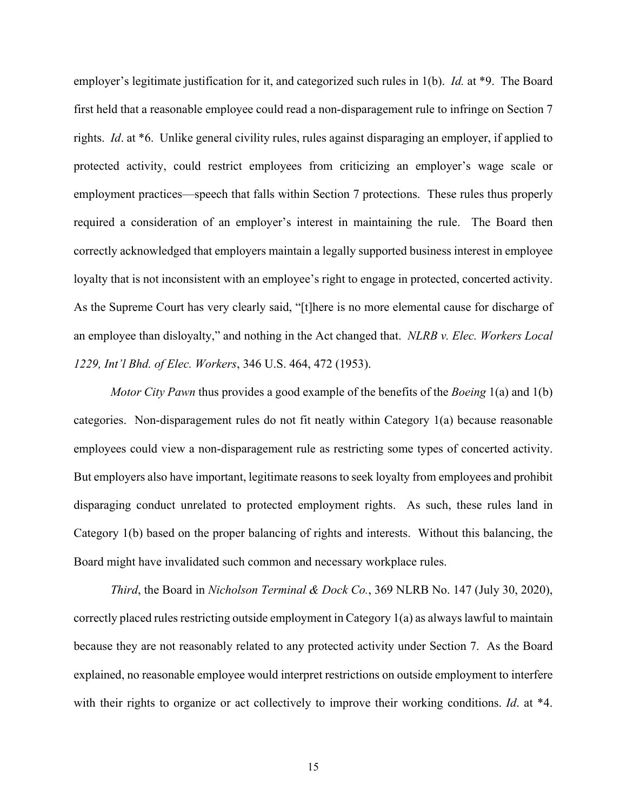employer's legitimate justification for it, and categorized such rules in 1(b). *Id.* at \*9. The Board first held that a reasonable employee could read a non-disparagement rule to infringe on Section 7 rights. *Id*. at \*6. Unlike general civility rules, rules against disparaging an employer, if applied to protected activity, could restrict employees from criticizing an employer's wage scale or employment practices—speech that falls within Section 7 protections. These rules thus properly required a consideration of an employer's interest in maintaining the rule. The Board then correctly acknowledged that employers maintain a legally supported business interest in employee loyalty that is not inconsistent with an employee's right to engage in protected, concerted activity. As the Supreme Court has very clearly said, "[t]here is no more elemental cause for discharge of an employee than disloyalty," and nothing in the Act changed that. *NLRB v. Elec. Workers Local 1229, Int'l Bhd. of Elec. Workers*, 346 U.S. 464, 472 (1953).

*Motor City Pawn* thus provides a good example of the benefits of the *Boeing* 1(a) and 1(b) categories. Non-disparagement rules do not fit neatly within Category 1(a) because reasonable employees could view a non-disparagement rule as restricting some types of concerted activity. But employers also have important, legitimate reasons to seek loyalty from employees and prohibit disparaging conduct unrelated to protected employment rights. As such, these rules land in Category 1(b) based on the proper balancing of rights and interests. Without this balancing, the Board might have invalidated such common and necessary workplace rules.

*Third*, the Board in *Nicholson Terminal & Dock Co.*, 369 NLRB No. 147 (July 30, 2020), correctly placed rules restricting outside employment in Category 1(a) as always lawful to maintain because they are not reasonably related to any protected activity under Section 7. As the Board explained, no reasonable employee would interpret restrictions on outside employment to interfere with their rights to organize or act collectively to improve their working conditions. *Id.* at \*4.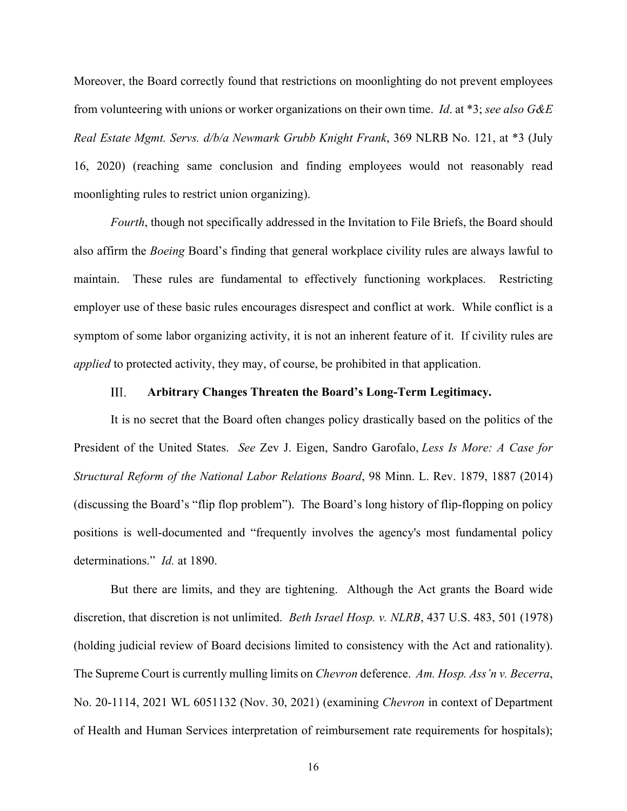Moreover, the Board correctly found that restrictions on moonlighting do not prevent employees from volunteering with unions or worker organizations on their own time. *Id*. at \*3; *see also G&E Real Estate Mgmt. Servs. d/b/a Newmark Grubb Knight Frank*, 369 NLRB No. 121, at \*3 (July 16, 2020) (reaching same conclusion and finding employees would not reasonably read moonlighting rules to restrict union organizing).

*Fourth*, though not specifically addressed in the Invitation to File Briefs, the Board should also affirm the *Boeing* Board's finding that general workplace civility rules are always lawful to maintain. These rules are fundamental to effectively functioning workplaces. Restricting employer use of these basic rules encourages disrespect and conflict at work. While conflict is a symptom of some labor organizing activity, it is not an inherent feature of it. If civility rules are *applied* to protected activity, they may, of course, be prohibited in that application.

#### III. **Arbitrary Changes Threaten the Board's Long-Term Legitimacy.**

It is no secret that the Board often changes policy drastically based on the politics of the President of the United States. *See* Zev J. Eigen, Sandro Garofalo, *Less Is More: A Case for Structural Reform of the National Labor Relations Board*, 98 Minn. L. Rev. 1879, 1887 (2014) (discussing the Board's "flip flop problem"). The Board's long history of flip-flopping on policy positions is well-documented and "frequently involves the agency's most fundamental policy determinations." *Id.* at 1890.

But there are limits, and they are tightening. Although the Act grants the Board wide discretion, that discretion is not unlimited. *Beth Israel Hosp. v. NLRB*, 437 U.S. 483, 501 (1978) (holding judicial review of Board decisions limited to consistency with the Act and rationality). The Supreme Court is currently mulling limits on *Chevron* deference. *Am. Hosp. Ass'n v. Becerra*, No. 20-1114, 2021 WL 6051132 (Nov. 30, 2021) (examining *Chevron* in context of Department of Health and Human Services interpretation of reimbursement rate requirements for hospitals);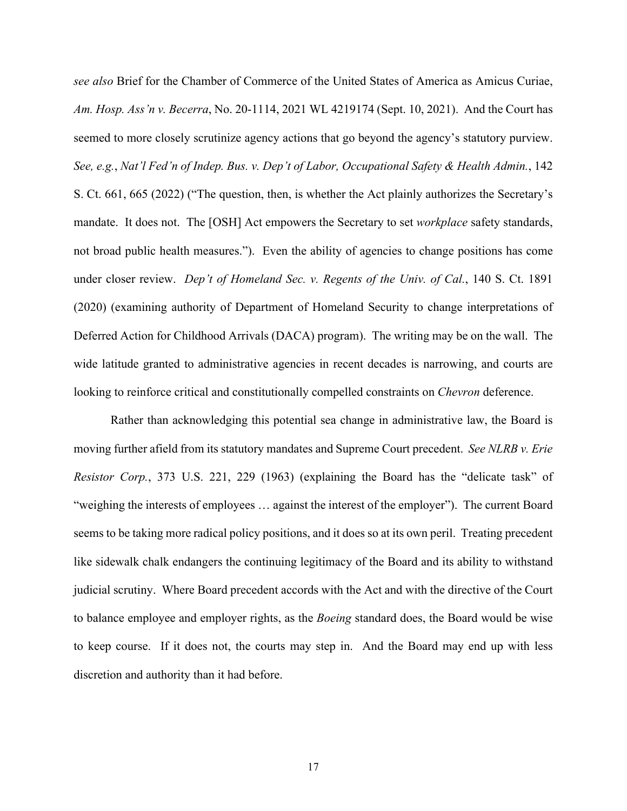*see also* Brief for the Chamber of Commerce of the United States of America as Amicus Curiae, *Am. Hosp. Ass'n v. Becerra*, No. 20-1114, 2021 WL 4219174 (Sept. 10, 2021). And the Court has seemed to more closely scrutinize agency actions that go beyond the agency's statutory purview. *See, e.g.*, *Nat'l Fed'n of Indep. Bus. v. Dep't of Labor, Occupational Safety & Health Admin.*, 142 S. Ct. 661, 665 (2022) ("The question, then, is whether the Act plainly authorizes the Secretary's mandate. It does not. The [OSH] Act empowers the Secretary to set *workplace* safety standards, not broad public health measures."). Even the ability of agencies to change positions has come under closer review. *Dep't of Homeland Sec. v. Regents of the Univ. of Cal.*, 140 S. Ct. 1891 (2020) (examining authority of Department of Homeland Security to change interpretations of Deferred Action for Childhood Arrivals (DACA) program). The writing may be on the wall. The wide latitude granted to administrative agencies in recent decades is narrowing, and courts are looking to reinforce critical and constitutionally compelled constraints on *Chevron* deference.

 Rather than acknowledging this potential sea change in administrative law, the Board is moving further afield from its statutory mandates and Supreme Court precedent. *See NLRB v. Erie Resistor Corp.*, 373 U.S. 221, 229 (1963) (explaining the Board has the "delicate task" of "weighing the interests of employees … against the interest of the employer"). The current Board seems to be taking more radical policy positions, and it does so at its own peril. Treating precedent like sidewalk chalk endangers the continuing legitimacy of the Board and its ability to withstand judicial scrutiny. Where Board precedent accords with the Act and with the directive of the Court to balance employee and employer rights, as the *Boeing* standard does, the Board would be wise to keep course. If it does not, the courts may step in. And the Board may end up with less discretion and authority than it had before.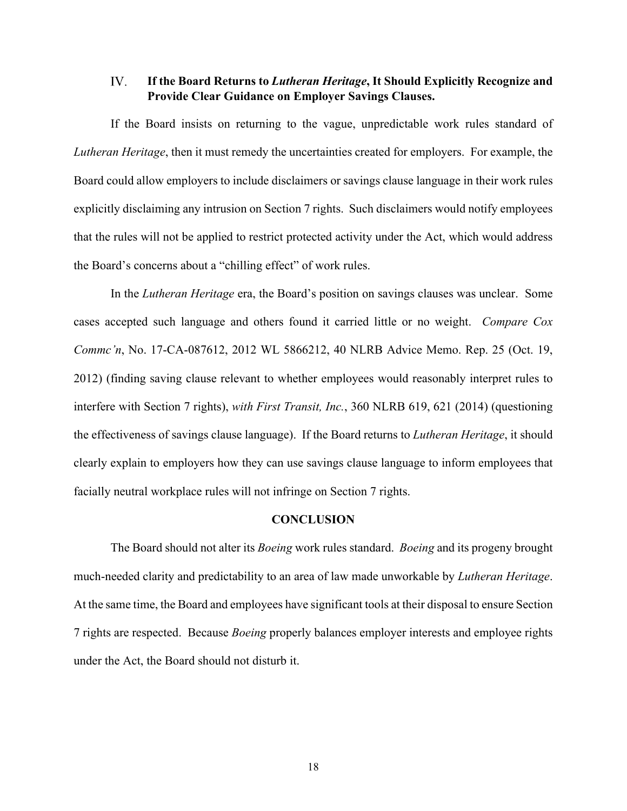#### IV. **If the Board Returns to** *Lutheran Heritage***, It Should Explicitly Recognize and Provide Clear Guidance on Employer Savings Clauses.**

If the Board insists on returning to the vague, unpredictable work rules standard of *Lutheran Heritage*, then it must remedy the uncertainties created for employers. For example, the Board could allow employers to include disclaimers or savings clause language in their work rules explicitly disclaiming any intrusion on Section 7 rights. Such disclaimers would notify employees that the rules will not be applied to restrict protected activity under the Act, which would address the Board's concerns about a "chilling effect" of work rules.

In the *Lutheran Heritage* era, the Board's position on savings clauses was unclear. Some cases accepted such language and others found it carried little or no weight. *Compare Cox Commc'n*, No. 17-CA-087612, 2012 WL 5866212, 40 NLRB Advice Memo. Rep. 25 (Oct. 19, 2012) (finding saving clause relevant to whether employees would reasonably interpret rules to interfere with Section 7 rights), *with First Transit, Inc.*, 360 NLRB 619, 621 (2014) (questioning the effectiveness of savings clause language). If the Board returns to *Lutheran Heritage*, it should clearly explain to employers how they can use savings clause language to inform employees that facially neutral workplace rules will not infringe on Section 7 rights.

## **CONCLUSION**

The Board should not alter its *Boeing* work rules standard. *Boeing* and its progeny brought much-needed clarity and predictability to an area of law made unworkable by *Lutheran Heritage*. At the same time, the Board and employees have significant tools at their disposal to ensure Section 7 rights are respected. Because *Boeing* properly balances employer interests and employee rights under the Act, the Board should not disturb it.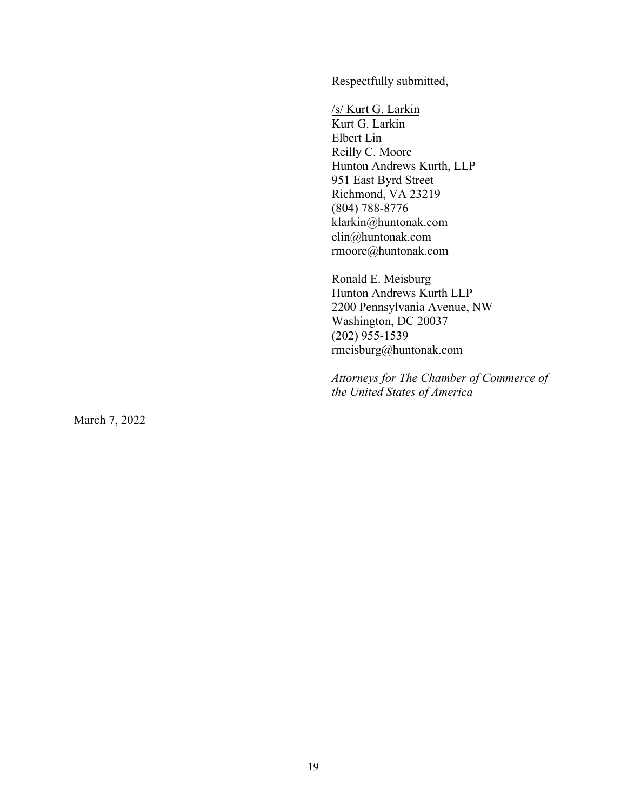Respectfully submitted,

/s/ Kurt G. Larkin Kurt G. Larkin Elbert Lin Reilly C. Moore Hunton Andrews Kurth, LLP 951 East Byrd Street Richmond, VA 23219 (804) 788-8776 klarkin@huntonak.com elin@huntonak.com rmoore@huntonak.com

Ronald E. Meisburg Hunton Andrews Kurth LLP 2200 Pennsylvania Avenue, NW Washington, DC 20037 (202) 955-1539 rmeisburg@huntonak.com

*Attorneys for The Chamber of Commerce of the United States of America* 

March 7, 2022